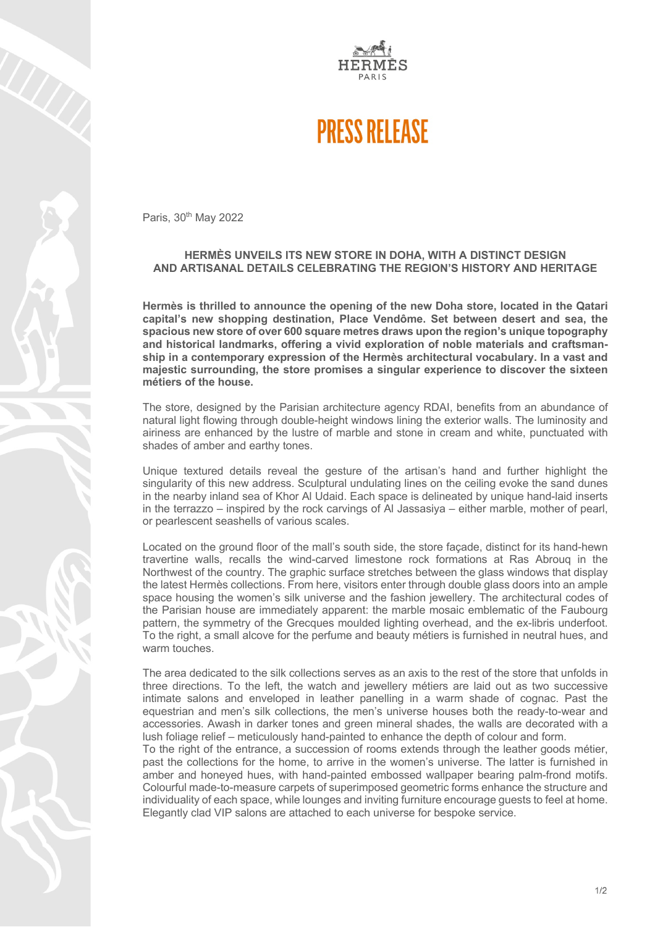

## **PRESS RELEASE**

Paris, 30<sup>th</sup> May 2022

## **HERMÈS UNVEILS ITS NEW STORE IN DOHA, WITH A DISTINCT DESIGN AND ARTISANAL DETAILS CELEBRATING THE REGION'S HISTORY AND HERITAGE**

**Hermès is thrilled to announce the opening of the new Doha store, located in the Qatari capital's new shopping destination, Place Vendôme. Set between desert and sea, the spacious new store of over 600 square metres draws upon the region's unique topography and historical landmarks, offering a vivid exploration of noble materials and craftsmanship in a contemporary expression of the Hermès architectural vocabulary. In a vast and majestic surrounding, the store promises a singular experience to discover the sixteen métiers of the house.**

The store, designed by the Parisian architecture agency RDAI, benefits from an abundance of natural light flowing through double-height windows lining the exterior walls. The luminosity and airiness are enhanced by the lustre of marble and stone in cream and white, punctuated with shades of amber and earthy tones.

Unique textured details reveal the gesture of the artisan's hand and further highlight the singularity of this new address. Sculptural undulating lines on the ceiling evoke the sand dunes in the nearby inland sea of Khor Al Udaid. Each space is delineated by unique hand-laid inserts in the terrazzo – inspired by the rock carvings of Al Jassasiya – either marble, mother of pearl, or pearlescent seashells of various scales.

Located on the ground floor of the mall's south side, the store façade, distinct for its hand-hewn travertine walls, recalls the wind-carved limestone rock formations at Ras Abrouq in the Northwest of the country. The graphic surface stretches between the glass windows that display the latest Hermès collections. From here, visitors enter through double glass doors into an ample space housing the women's silk universe and the fashion jewellery. The architectural codes of the Parisian house are immediately apparent: the marble mosaic emblematic of the Faubourg pattern, the symmetry of the Grecques moulded lighting overhead, and the ex-libris underfoot. To the right, a small alcove for the perfume and beauty métiers is furnished in neutral hues, and warm touches.

The area dedicated to the silk collections serves as an axis to the rest of the store that unfolds in three directions. To the left, the watch and jewellery métiers are laid out as two successive intimate salons and enveloped in leather panelling in a warm shade of cognac. Past the equestrian and men's silk collections, the men's universe houses both the ready-to-wear and accessories. Awash in darker tones and green mineral shades, the walls are decorated with a lush foliage relief – meticulously hand-painted to enhance the depth of colour and form.

To the right of the entrance, a succession of rooms extends through the leather goods métier, past the collections for the home, to arrive in the women's universe. The latter is furnished in amber and honeyed hues, with hand-painted embossed wallpaper bearing palm-frond motifs. Colourful made-to-measure carpets of superimposed geometric forms enhance the structure and individuality of each space, while lounges and inviting furniture encourage guests to feel at home. Elegantly clad VIP salons are attached to each universe for bespoke service.